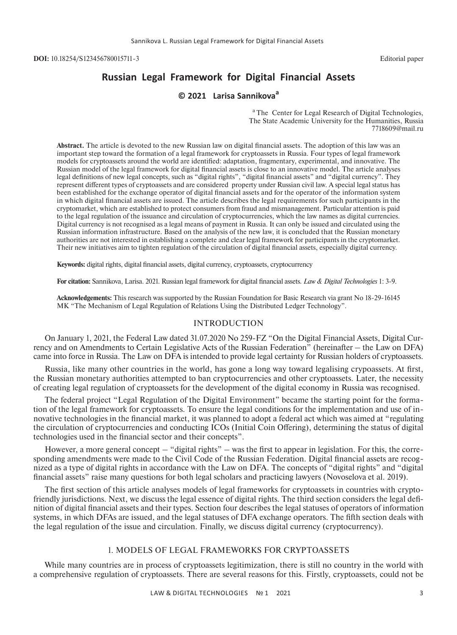**DOI:** 10.18254/S123456780015711-3 Editorial paper

# **Russian Legal Framework for Digital Financial Assets**

# **© 2021 Larisa Sannikova<sup>a</sup>**

<sup>a</sup> The Center for Legal Research of Digital Technologies, The State Academic University for the Humanities, Russia 7718609@mail.ru

**Abstract.** The article is devoted to the new Russian law on digital financial assets. The adoption of this law was an important step toward the formation of a legal framework for cryptoassets in Russia. Four types of legal framework models for cryptoassets around the world are identified: adaptation, fragmentary, experimental, and innovative. The Russian model of the legal framework for digital financial assets is close to an innovative model. The article analyses legal definitions of new legal concepts, such as "digital rights", "digital financial assets" and "digital currency". They represent different types of cryptoassets and are considered property under Russian civil law. A special legal status has been established for the exchange operator of digital financial assets and for the operator of the information system in which digital financial assets are issued. The article describes the legal requirements for such participants in the cryptomarket, which are established to protect consumers from fraud and mismanagement. Particular attention is paid to the legal regulation of the issuance and circulation of cryptocurrencies, which the law names as digital currencies. Digital currency is not recognised as a legal means of payment in Russia. It can only be issued and circulated using the Russian information infrastructure. Based on the analysis of the new law, it is concluded that the Russian monetary authorities are not interested in establishing a complete and clear legal framework for participants in the cryptomarket. Their new initiatives aim to tighten regulation of the circulation of digital financial assets, especially digital currency.

**Keywords:** digital rights, digital financial assets, digital currency, cryptoassets, cryptocurrency

**For citation:** Sannikova, Larisa. 2021. Russian legal framework for digital financial assets. *Law & Digital Technologies* 1: 3-9.

**Acknowledgements:** This research was supported by the Russian Foundation for Basic Research via grant No 18-29-16145 MK "The Mechanism of Legal Regulation of Relations Using the Distributed Ledger Technology".

#### INTRODUCTION

On January 1, 2021, the Federal Law dated 31.07.2020 No 259-FZ "On the Digital Financial Assets, Digital Currency and on Amendments to Certain Legislative Acts of the Russian Federation" (hereinafter – the Law on DFA) came into force in Russia. The Law on DFA is intended to provide legal certainty for Russian holders of cryptoassets.

Russia, like many other countries in the world, has gone a long way toward legalising crypoassets. At first, the Russian monetary authorities attempted to ban cryptocurrencies and other cryptoassets. Later, the necessity of creating legal regulation of cryptoassets for the development of the digital economy in Russia was recognised.

The federal project "Legal Regulation of the Digital Environment" became the starting point for the formation of the legal framework for cryptoassets. To ensure the legal conditions for the implementation and use of innovative technologies in the financial market, it was planned to adopt a federal act which was aimed at "regulating the circulation of cryptocurrencies and conducting ICOs (Initial Coin Offering), determining the status of digital technologies used in the financial sector and their concepts".

However, a more general concept – "digital rights" – was the first to appear in legislation. For this, the corresponding amendments were made to the Civil Code of the Russian Federation. Digital financial assets are recognized as a type of digital rights in accordance with the Law on DFA. The concepts of "digital rights" and "digital financial assets" raise many questions for both legal scholars and practicing lawyers (Novoselova et al. 2019).

The first section of this article analyses models of legal frameworks for cryptoassets in countries with cryptofriendly jurisdictions. Next, we discuss the legal essence of digital rights. The third section considers the legal definition of digital financial assets and their types. Section four describes the legal statuses of operators of information systems, in which DFAs are issued, and the legal statuses of DFA exchange operators. The fifth section deals with the legal regulation of the issue and circulation. Finally, we discuss digital currency (cryptocurrency).

## 1. MODELS OF LEGAL FRAMEWORKS FOR CRYPTOASSETS

While many countries are in process of cryptoassets legitimization, there is still no country in the world with a comprehensive regulation of cryptoassets. There are several reasons for this. Firstly, cryptoassets, could not be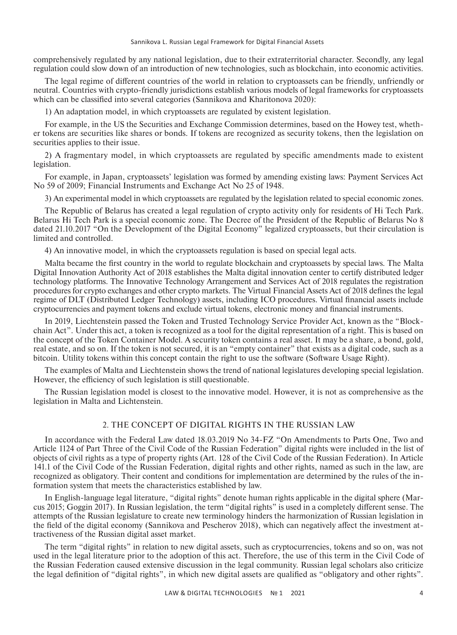comprehensively regulated by any national legislation, due to their extraterritorial character. Secondly, any legal regulation could slow down of an introduction of new technologies, such as blockchain, into economic activities.

The legal regime of different countries of the world in relation to cryptoassets can be friendly, unfriendly or neutral. Countries with crypto-friendly jurisdictions establish various models of legal frameworks for cryptoassets which can be classified into several categories (Sannikova and Kharitonova 2020):

1) An adaptation model, in which cryptoassets are regulated by existent legislation.

For example, in the US the Securities and Exchange Commission determines, based on the Howey test, whether tokens are securities like shares or bonds. If tokens are recognized as security tokens, then the legislation on securities applies to their issue.

2) A fragmentary model, in which cryptoassets are regulated by specific amendments made to existent legislation.

For example, in Japan, cryptoassets' legislation was formed by amending existing laws: Payment Services Act No 59 of 2009; Financial Instruments and Exchange Act No 25 of 1948.

3) An experimental model in which cryptoassets are regulated by the legislation related to special economic zones.

The Republic of Belarus has created a legal regulation of crypto activity only for residents of Hi Tech Park. Belarus Hi Tech Park is a special economic zone. The Decree of the President of the Republic of Belarus No 8 dated 21.10.2017 "On the Development of the Digital Economy" legalized cryptoassets, but their circulation is limited and controlled.

4) An innovative model, in which the cryptoassets regulation is based on special legal acts.

Malta became the first country in the world to regulate blockchain and cryptoassets by special laws. The Malta Digital Innovation Authority Act of 2018 establishes the Malta digital innovation center to certify distributed ledger technology platforms. The Innovative Technology Arrangement and Services Act of 2018 regulates the registration procedures for crypto exchanges and other crypto markets. The Virtual Financial Assets Act of 2018 defines the legal regime of DLT (Distributed Ledger Technology) assets, including ICO procedures. Virtual financial assets include cryptocurrencies and payment tokens and exclude virtual tokens, electronic money and financial instruments.

In 2019, Liechtenstein passed the Token and Trusted Technology Service Provider Act, known as the "Blockchain Act". Under this act, a token is recognized as a tool for the digital representation of a right. This is based on the concept of the Token Container Model. A security token contains a real asset. It may be a share, a bond, gold, real estate, and so on. If the token is not secured, it is an "empty container" that exists as a digital code, such as a bitcoin. Utility tokens within this concept contain the right to use the software (Software Usage Right).

The examples of Malta and Liechtenstein shows the trend of national legislatures developing special legislation. However, the efficiency of such legislation is still questionable.

The Russian legislation model is closest to the innovative model. However, it is not as comprehensive as the legislation in Malta and Lichtenstein.

### 2. THE CONCEPT OF DIGITAL RIGHTS IN THE RUSSIAN LAW

In accordance with the Federal Law dated 18.03.2019 No 34-FZ "On Amendments to Parts One, Two and Article 1124 of Part Three of the Civil Code of the Russian Federation" digital rights were included in the list of objects of civil rights as a type of property rights (Art. 128 of the Civil Code of the Russian Federation). In Article 141.1 of the Civil Code of the Russian Federation, digital rights and other rights, named as such in the law, are recognized as obligatory. Their content and conditions for implementation are determined by the rules of the information system that meets the characteristics established by law.

In English-language legal literature, "digital rights" denote human rights applicable in the digital sphere (Marcus 2015; Goggin 2017). In Russian legislation, the term "digital rights" is used in a completely different sense. The attempts of the Russian legislature to create new terminology hinders the harmonization of Russian legislation in the field of the digital economy (Sannikova and Pescherov 2018), which can negatively affect the investment attractiveness of the Russian digital asset market.

The term "digital rights" in relation to new digital assets, such as cryptocurrencies, tokens and so on, was not used in the legal literature prior to the adoption of this act. Therefore, the use of this term in the Civil Code of the Russian Federation caused extensive discussion in the legal community. Russian legal scholars also criticize the legal definition of "digital rights", in which new digital assets are qualified as "obligatory and other rights".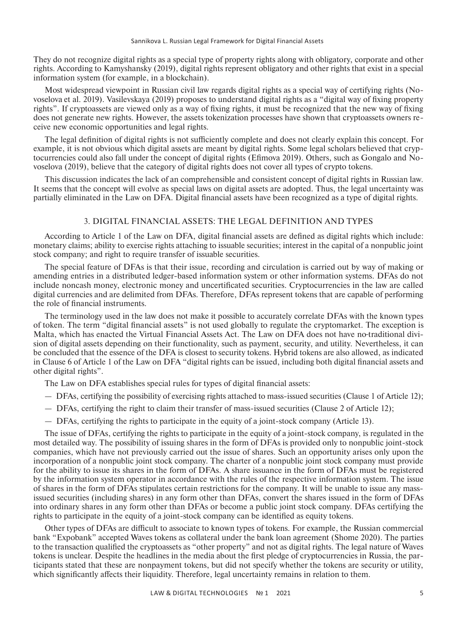They do not recognize digital rights as a special type of property rights along with obligatory, corporate and other rights. According to Kamyshansky (2019), digital rights represent obligatory and other rights that exist in a special information system (for example, in a blockchain).

Most widespread viewpoint in Russian civil law regards digital rights as a special way of certifying rights (Novoselova et al. 2019). Vasilevskaya (2019) proposes to understand digital rights as a "digital way of fixing property rights". If cryptoassets are viewed only as a way of fixing rights, it must be recognized that the new way of fixing does not generate new rights. However, the assets tokenization processes have shown that cryptoassets owners receive new economic opportunities and legal rights.

The legal definition of digital rights is not sufficiently complete and does not clearly explain this concept. For example, it is not obvious which digital assets are meant by digital rights. Some legal scholars believed that cryptocurrencies could also fall under the concept of digital rights (Efimova 2019). Others, such as Gongalo and Novoselova (2019), believe that the category of digital rights does not cover all types of crypto tokens.

This discussion indicates the lack of an comprehensible and consistent concept of digital rights in Russian law. It seems that the concept will evolve as special laws on digital assets are adopted. Thus, the legal uncertainty was partially eliminated in the Law on DFA. Digital financial assets have been recognized as a type of digital rights.

# 3. DIGITAL FINANCIAL ASSETS: THE LEGAL DEFINITION AND TYPES

According to Article 1 of the Law on DFA, digital financial assets are defined as digital rights which include: monetary claims; ability to exercise rights attaching to issuable securities; interest in the capital of a nonpublic joint stock company; and right to require transfer of issuable securities.

The special feature of DFAs is that their issue, recording and circulation is carried out by way of making or amending entries in a distributed ledger-based information system or other information systems. DFAs do not include noncash money, electronic money and uncertificated securities. Cryptocurrencies in the law are called digital currencies and are delimited from DFAs. Therefore, DFAs represent tokens that are capable of performing the role of financial instruments.

The terminology used in the law does not make it possible to accurately correlate DFAs with the known types of token. The term "digital financial assets" is not used globally to regulate the cryptomarket. The exception is Malta, which has enacted the Virtual Financial Assets Act. The Law on DFA does not have no traditional division of digital assets depending on their functionality, such as payment, security, and utility. Nevertheless, it can be concluded that the essence of the DFA is closest to security tokens. Hybrid tokens are also allowed, as indicated in Clause 6 of Article 1 of the Law on DFA "digital rights can be issued, including both digital financial assets and other digital rights".

The Law on DFA establishes special rules for types of digital financial assets:

- DFAs, certifying the possibility of exercising rights attached to mass-issued securities (Clause 1 of Article 12);
- DFAs, certifying the right to claim their transfer of mass-issued securities (Clause 2 of Article 12);
- DFAs, certifying the rights to participate in the equity of a joint-stock company (Article 13).

The issue of DFAs, certifying the rights to participate in the equity of a joint-stock company, is regulated in the most detailed way. The possibility of issuing shares in the form of DFAs is provided only to nonpublic joint-stock companies, which have not previously carried out the issue of shares. Such an opportunity arises only upon the incorporation of a nonpublic joint stock company. The charter of a nonpublic joint stock company must provide for the ability to issue its shares in the form of DFAs. A share issuance in the form of DFAs must be registered by the information system operator in accordance with the rules of the respective information system. The issue of shares in the form of DFAs stipulates certain restrictions for the company. It will be unable to issue any massissued securities (including shares) in any form other than DFAs, convert the shares issued in the form of DFAs into ordinary shares in any form other than DFAs or become a public joint stock company. DFAs certifying the rights to participate in the equity of a joint-stock company can be identified as equity tokens.

Other types of DFAs are difficult to associate to known types of tokens. For example, the Russian commercial bank "Expobank" accepted Waves tokens as collateral under the bank loan agreement (Shome 2020). The parties to the transaction qualified the cryptoassets as "other property" and not as digital rights. The legal nature of Waves tokens is unclear. Despite the headlines in the media about the first pledge of cryptocurrencies in Russia, the participants stated that these are nonpayment tokens, but did not specify whether the tokens are security or utility, which significantly affects their liquidity. Therefore, legal uncertainty remains in relation to them.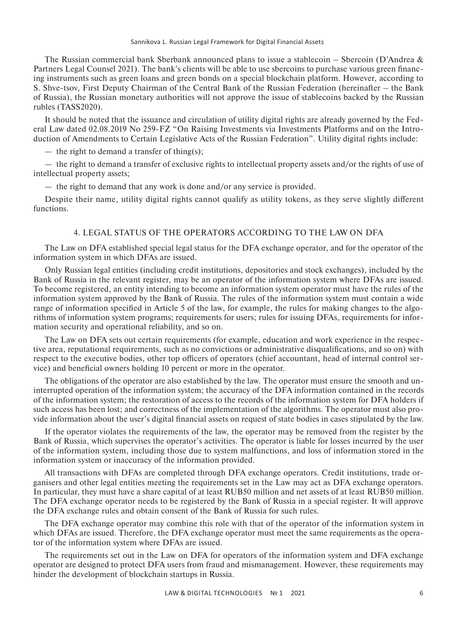The Russian commercial bank Sberbank announced plans to issue a stablecoin – Sbercoin (D'Andrea & Partners Legal Counsel 2021). The bank's clients will be able to use sbercoins to purchase various green financing instruments such as green loans and green bonds on a special blockchain platform. However, according to S. Shve-tsov, First Deputy Chairman of the Central Bank of the Russian Federation (hereinafter – the Bank of Russia), the Russian monetary authorities will not approve the issue of stablecoins backed by the Russian rubles (TASS2020).

It should be noted that the issuance and circulation of utility digital rights are already governed by the Federal Law dated 02.08.2019 No 259-FZ "On Raising Investments via Investments Platforms and on the Introduction of Amendments to Certain Legislative Acts of the Russian Federation". Utility digital rights include:

— the right to demand a transfer of thing(s);

— the right to demand a transfer of exclusive rights to intellectual property assets and/or the rights of use of intellectual property assets;

— the right to demand that any work is done and/or any service is provided.

Despite their name, utility digital rights cannot qualify as utility tokens, as they serve slightly different functions.

## 4. LEGAL STATUS OF THE OPERATORS ACCORDING TO THE LAW ON DFA

The Law on DFA established special legal status for the DFA exchange operator, and for the operator of the information system in which DFAs are issued.

Only Russian legal entities (including credit institutions, depositories and stock exchanges), included by the Bank of Russia in the relevant register, may be an operator of the information system where DFAs are issued. To become registered, an entity intending to become an information system operator must have the rules of the information system approved by the Bank of Russia. The rules of the information system must contain a wide range of information specified in Article 5 of the law, for example, the rules for making changes to the algorithms of information system programs; requirements for users; rules for issuing DFAs, requirements for information security and operational reliability, and so on.

The Law on DFA sets out certain requirements (for example, education and work experience in the respective area, reputational requirements, such as no convictions or administrative disqualifications, and so on) with respect to the executive bodies, other top officers of operators (chief accountant, head of internal control service) and beneficial owners holding 10 percent or more in the operator.

The obligations of the operator are also established by the law. The operator must ensure the smooth and uninterrupted operation of the information system; the accuracy of the DFA information contained in the records of the information system; the restoration of access to the records of the information system for DFA holders if such access has been lost; and correctness of the implementation of the algorithms. The operator must also provide information about the user's digital financial assets on request of state bodies in cases stipulated by the law.

If the operator violates the requirements of the law, the operator may be removed from the register by the Bank of Russia, which supervises the operator's activities. The operator is liable for losses incurred by the user of the information system, including those due to system malfunctions, and loss of information stored in the information system or inaccuracy of the information provided.

All transactions with DFAs are completed through DFA exchange operators. Credit institutions, trade organisers and other legal entities meeting the requirements set in the Law may act as DFA exchange operators. In particular, they must have a share capital of at least RUB50 million and net assets of at least RUB50 million. The DFA exchange operator needs to be registered by the Bank of Russia in a special register. It will approve the DFA exchange rules and obtain consent of the Bank of Russia for such rules.

The DFA exchange operator may combine this role with that of the operator of the information system in which DFAs are issued. Therefore, the DFA exchange operator must meet the same requirements as the operator of the information system where DFAs are issued.

The requirements set out in the Law on DFA for operators of the information system and DFA exchange operator are designed to protect DFA users from fraud and mismanagement. However, these requirements may hinder the development of blockchain startups in Russia.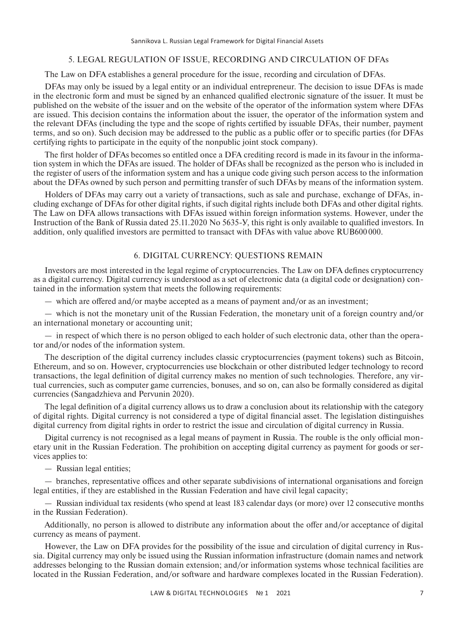#### 5. LEGAL REGULATION OF ISSUE, RECORDING AND CIRCULATION OF DFAs

The Law on DFA establishes a general procedure for the issue, recording and circulation of DFAs.

DFAs may only be issued by a legal entity or an individual entrepreneur. The decision to issue DFAs is made in the electronic form and must be signed by an enhanced qualified electronic signature of the issuer. It must be published on the website of the issuer and on the website of the operator of the information system where DFAs are issued. This decision contains the information about the issuer, the operator of the information system and the relevant DFAs (including the type and the scope of rights certified by issuable DFAs, their number, payment terms, and so on). Such decision may be addressed to the public as a public offer or to specific parties (for DFAs certifying rights to participate in the equity of the nonpublic joint stock company).

The first holder of DFAs becomes so entitled once a DFA crediting record is made in its favour in the information system in which the DFAs are issued. The holder of DFAs shall be recognized as the person who is included in the register of users of the information system and has a unique code giving such person access to the information about the DFAs owned by such person and permitting transfer of such DFAs by means of the information system.

Holders of DFAs may carry out a variety of transactions, such as sale and purchase, exchange of DFAs, including exchange of DFAs for other digital rights, if such digital rights include both DFAs and other digital rights. The Law on DFA allows transactions with DFAs issued within foreign information systems. However, under the Instruction of the Bank of Russia dated 25.11.2020 No 5635-У, this right is only available to qualified investors. In addition, only qualified investors are permitted to transact with DFAs with value above RUB600 000.

## 6. DIGITAL CURRENCY: QUESTIONS REMAIN

Investors are most interested in the legal regime of cryptocurrencies. The Law on DFA defines cryptocurrency as a digital currency. Digital currency is understood as a set of electronic data (a digital code or designation) contained in the information system that meets the following requirements:

— which are offered and/or maybe accepted as a means of payment and/or as an investment;

— which is not the monetary unit of the Russian Federation, the monetary unit of a foreign country and/or an international monetary or accounting unit;

— in respect of which there is no person obliged to each holder of such electronic data, other than the operator and/or nodes of the information system.

The description of the digital currency includes classic cryptocurrencies (payment tokens) such as Bitcoin, Ethereum, and so on. However, cryptocurrencies use blockchain or other distributed ledger technology to record transactions, the legal definition of digital currency makes no mention of such technologies. Therefore, any virtual currencies, such as computer game currencies, bonuses, and so on, can also be formally considered as digital currencies (Sangadzhieva and Pervunin 2020).

The legal definition of a digital currency allows us to draw a conclusion about its relationship with the category of digital rights. Digital currency is not considered a type of digital financial asset. The legislation distinguishes digital currency from digital rights in order to restrict the issue and circulation of digital currency in Russia.

Digital currency is not recognised as a legal means of payment in Russia. The rouble is the only official monetary unit in the Russian Federation. The prohibition on accepting digital currency as payment for goods or services applies to:

— Russian legal entities;

— branches, representative offices and other separate subdivisions of international organisations and foreign legal entities, if they are established in the Russian Federation and have civil legal capacity;

— Russian individual tax residents (who spend at least 183 calendar days (or more) over 12 consecutive months in the Russian Federation).

Additionally, no person is allowed to distribute any information about the offer and/or acceptance of digital currency as means of payment.

However, the Law on DFA provides for the possibility of the issue and circulation of digital currency in Russia. Digital currency may only be issued using the Russian information infrastructure (domain names and network addresses belonging to the Russian domain extension; and/or information systems whose technical facilities are located in the Russian Federation, and/or software and hardware complexes located in the Russian Federation).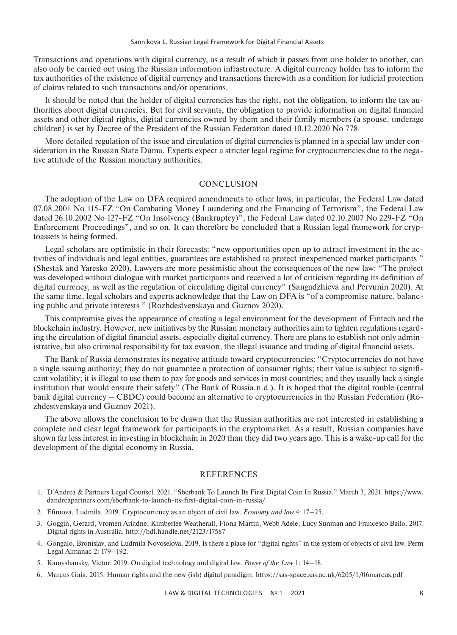Transactions and operations with digital currency, as a result of which it passes from one holder to another, can also only be carried out using the Russian information infrastructure. A digital currency holder has to inform the tax authorities of the existence of digital currency and transactions therewith as a condition for judicial protection of claims related to such transactions and/or operations.

It should be noted that the holder of digital currencies has the right, not the obligation, to inform the tax authorities about digital currencies. But for civil servants, the obligation to provide information on digital financial assets and other digital rights, digital currencies owned by them and their family members (a spouse, underage children) is set by Decree of the President of the Russian Federation dated 10.12.2020 No 778.

More detailed regulation of the issue and circulation of digital currencies is planned in a special law under consideration in the Russian State Duma. Experts expect a stricter legal regime for cryptocurrencies due to the negative attitude of the Russian monetary authorities.

#### **CONCLUSION**

The adoption of the Law on DFA required amendments to other laws, in particular, the Federal Law dated 07.08.2001 No 115-FZ "On Combating Money Laundering and the Financing of Terrorism", the Federal Law dated 26.10.2002 No 127-FZ "On Insolvency (Bankruptcy)", the Federal Law dated 02.10.2007 No 229-FZ "On Enforcement Proceedings", and so on. It can therefore be concluded that a Russian legal framework for cryptoassets is being formed.

Legal scholars are optimistic in their forecasts: "new opportunities open up to attract investment in the activities of individuals and legal entities, guarantees are established to protect inexperienced market participants " (Shestak and Yaresko 2020). Lawyers are more pessimistic about the consequences of the new law: "The project was developed without dialogue with market participants and received a lot of criticism regarding its definition of digital currency, as well as the regulation of circulating digital currency" (Sangadzhieva and Pervunin 2020). At the same time, legal scholars and experts acknowledge that the Law on DFA is "of a compromise nature, balancing public and private interests " (Rozhdestvenskaya and Guznov 2020).

This compromise gives the appearance of creating a legal environment for the development of Fintech and the blockchain industry. However, new initiatives by the Russian monetary authorities aim to tighten regulations regarding the circulation of digital financial assets, especially digital currency. There are plans to establish not only administrative, but also criminal responsibility for tax evasion, the illegal issuance and trading of digital financial assets.

The Bank of Russia demonstrates its negative attitude toward cryptocurrencies: "Cryptocurrencies do not have a single issuing authority; they do not guarantee a protection of consumer rights; their value is subject to significant volatility; it is illegal to use them to pay for goods and services in most countries; and they usually lack a single institution that would ensure their safety" (The Bank of Russia.n.d.). It is hoped that the digital rouble (central bank digital currency – CBDC) could become an alternative to cryptocurrencies in the Russian Federation (Rozhdestvenskaya and Guznov 2021).

The above allows the conclusion to be drawn that the Russian authorities are not interested in establishing a complete and clear legal framework for participants in the cryptomarket. As a result, Russian companies have shown far less interest in investing in blockchain in 2020 than they did two years ago. This is a wake-up call for the development of the digital economy in Russia.

#### REFERENCES

- 1. D'Andrea & Partners Legal Counsel. 2021. "Sberbank To Launch Its First Digital Coin In Russia." March 3, 2021. https://www. dandreapartners.com/sberbank-to-launch-its-first-digital-coin-in-russia/
- 2. Efimova, Ludmila. 2019. Cryptocurrency as an object of civil law. *Economy and law* 4: 17–25.
- 3. Goggin, Gerard, Vromen Ariadne, Kimberlee Weatherall, Fiona Martin, Webb Adele, Lucy Sunman and Francesco Bailo. 2017. Digital rights in Australia. http://hdl.handle.net/2123/17587
- 4. Gongalo, Bronislav, and Ludmila Novoselova. 2019. Is there a place for "digital rights" in the system of objects of civil law. Perm Legal Almanac 2: 179–192.
- 5. Kamyshansky, Victor. 2019. On digital technology and digital law. *Power of the Law* 1: 14–18.
- 6. Marcus Gaia. 2015. Human rights and the new (ish) digital paradigm. https://sas-space.sas.ac.uk/6205/1/06marcus.pdf